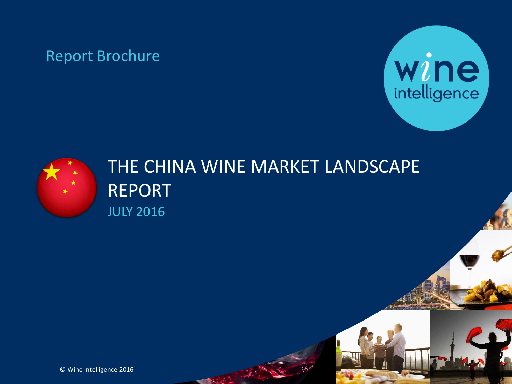# Report Brochure





# THE CHINA WINE MARKET LANDSCAPE REPORT JULY 2016

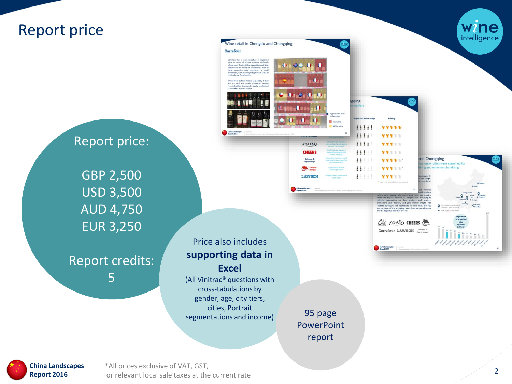

**China Landscapes Report 2016**

\*All prices exclusive of VAT, GST, or relevant local sale taxes at the current rate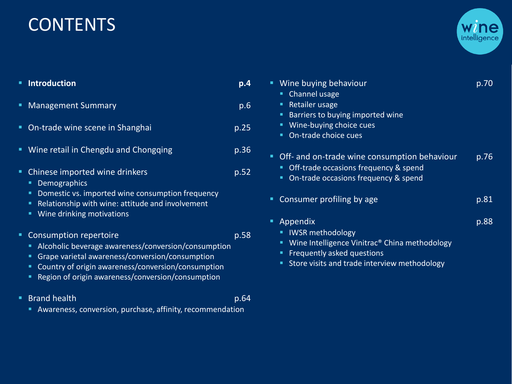# **CONTENTS**



| <b>Introduction</b>                                                                                                                                                                                                                                    | p.4  | Wine buying behaviour<br>Channel usage                                                                                                                             | p.70 |
|--------------------------------------------------------------------------------------------------------------------------------------------------------------------------------------------------------------------------------------------------------|------|--------------------------------------------------------------------------------------------------------------------------------------------------------------------|------|
| <b>Management Summary</b>                                                                                                                                                                                                                              | p.6  | Retailer usage<br>Barriers to buying imported wine                                                                                                                 |      |
| On-trade wine scene in Shanghai                                                                                                                                                                                                                        | p.25 | Wine-buying choice cues<br>On-trade choice cues                                                                                                                    |      |
| Wine retail in Chengdu and Chongqing<br>ш                                                                                                                                                                                                              | p.36 | Off- and on-trade wine consumption behaviour<br>п                                                                                                                  | p.76 |
| Chinese imported wine drinkers<br><b>Demographics</b>                                                                                                                                                                                                  | p.52 | Off-trade occasions frequency & spend<br>On-trade occasions frequency & spend                                                                                      |      |
| Domestic vs. imported wine consumption frequency<br>Relationship with wine: attitude and involvement                                                                                                                                                   |      | Consumer profiling by age<br>٠                                                                                                                                     | p.81 |
| Wine drinking motivations<br>٠                                                                                                                                                                                                                         |      | Appendix<br>٠                                                                                                                                                      | p.88 |
| Consumption repertoire<br>Alcoholic beverage awareness/conversion/consumption<br>ш.<br>Grape varietal awareness/conversion/consumption<br>Country of origin awareness/conversion/consumption<br>Region of origin awareness/conversion/consumption<br>٠ | p.58 | <b>IWSR methodology</b><br>Wine Intelligence Vinitrac <sup>®</sup> China methodology<br>Frequently asked questions<br>Store visits and trade interview methodology |      |

- **Brand health** p.64
	- Awareness, conversion, purchase, affinity, recommendation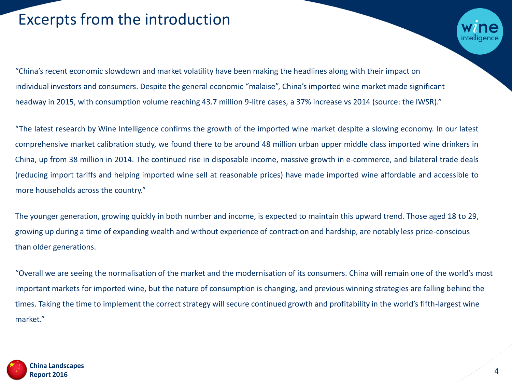# Excerpts from the introduction

"China's recent economic slowdown and market volatility have been making the headlines along with their impact on individual investors and consumers. Despite the general economic "malaise", China's imported wine market made significant headway in 2015, with consumption volume reaching 43.7 million 9-litre cases, a 37% increase vs 2014 (source: the IWSR)."

"The latest research by Wine Intelligence confirms the growth of the imported wine market despite a slowing economy. In our latest comprehensive market calibration study, we found there to be around 48 million urban upper middle class imported wine drinkers in China, up from 38 million in 2014. The continued rise in disposable income, massive growth in e-commerce, and bilateral trade deals (reducing import tariffs and helping imported wine sell at reasonable prices) have made imported wine affordable and accessible to more households across the country."

The younger generation, growing quickly in both number and income, is expected to maintain this upward trend. Those aged 18 to 29, growing up during a time of expanding wealth and without experience of contraction and hardship, are notably less price-conscious than older generations.

"Overall we are seeing the normalisation of the market and the modernisation of its consumers. China will remain one of the world's most important markets for imported wine, but the nature of consumption is changing, and previous winning strategies are falling behind the times. Taking the time to implement the correct strategy will secure continued growth and profitability in the world's fifth-largest wine market."

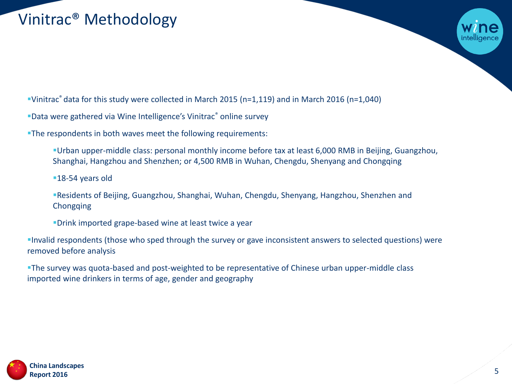# Vinitrac® Methodology

Vinitrac® data for this study were collected in March 2015 (n=1,119) and in March 2016 (n=1,040)

■Data were gathered via Wine Intelligence's Vinitrac® online survey

The respondents in both waves meet the following requirements:

Urban upper-middle class: personal monthly income before tax at least 6,000 RMB in Beijing, Guangzhou, Shanghai, Hangzhou and Shenzhen; or 4,500 RMB in Wuhan, Chengdu, Shenyang and Chongqing

■18-54 years old

Residents of Beijing, Guangzhou, Shanghai, Wuhan, Chengdu, Shenyang, Hangzhou, Shenzhen and Chongqing

Drink imported grape-based wine at least twice a year

Invalid respondents (those who sped through the survey or gave inconsistent answers to selected questions) were removed before analysis

The survey was quota-based and post-weighted to be representative of Chinese urban upper-middle class imported wine drinkers in terms of age, gender and geography

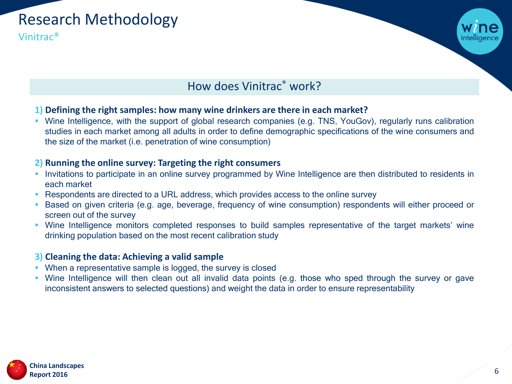

Vinitrac®



# How does Vinitrac® work?

## **1) Defining the right samples: how many wine drinkers are there in each market?**

 Wine Intelligence, with the support of global research companies (e.g. TNS, YouGov), regularly runs calibration studies in each market among all adults in order to define demographic specifications of the wine consumers and the size of the market (i.e. penetration of wine consumption)

## **2) Running the online survey: Targeting the right consumers**

- **Invitations to participate in an online survey programmed by Wine Intelligence are then distributed to residents in** each market
- **Respondents are directed to a URL address, which provides access to the online survey**
- Based on given criteria (e.g. age, beverage, frequency of wine consumption) respondents will either proceed or screen out of the survey
- Wine Intelligence monitors completed responses to build samples representative of the target markets' wine drinking population based on the most recent calibration study

## **3) Cleaning the data: Achieving a valid sample**

- When a representative sample is logged, the survey is closed
- Wine Intelligence will then clean out all invalid data points (e.g. those who sped through the survey or gave inconsistent answers to selected questions) and weight the data in order to ensure representability

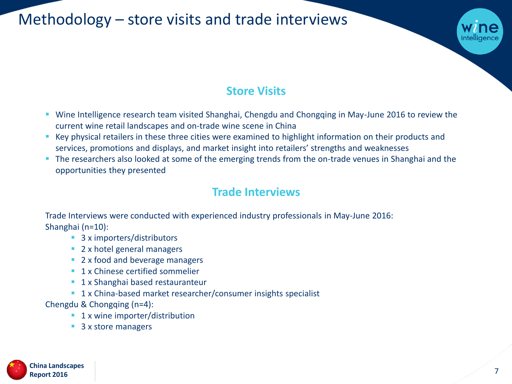Methodology – store visits and trade interviews

# **Store Visits**

- Wine Intelligence research team visited Shanghai, Chengdu and Chongqing in May-June 2016 to review the current wine retail landscapes and on-trade wine scene in China
- Key physical retailers in these three cities were examined to highlight information on their products and services, promotions and displays, and market insight into retailers' strengths and weaknesses
- The researchers also looked at some of the emerging trends from the on-trade venues in Shanghai and the opportunities they presented

# **Trade Interviews**

Trade Interviews were conducted with experienced industry professionals in May-June 2016: Shanghai (n=10):

- 3 x importers/distributors
- 2 x hotel general managers
- 2 x food and beverage managers
- **1 x Chinese certified sommelier**
- **1 x Shanghai based restauranteur**
- **1 x China-based market researcher/consumer insights specialist**
- Chengdu & Chongqing (n=4):
	- 1 x wine importer/distribution
	- 3 x store managers